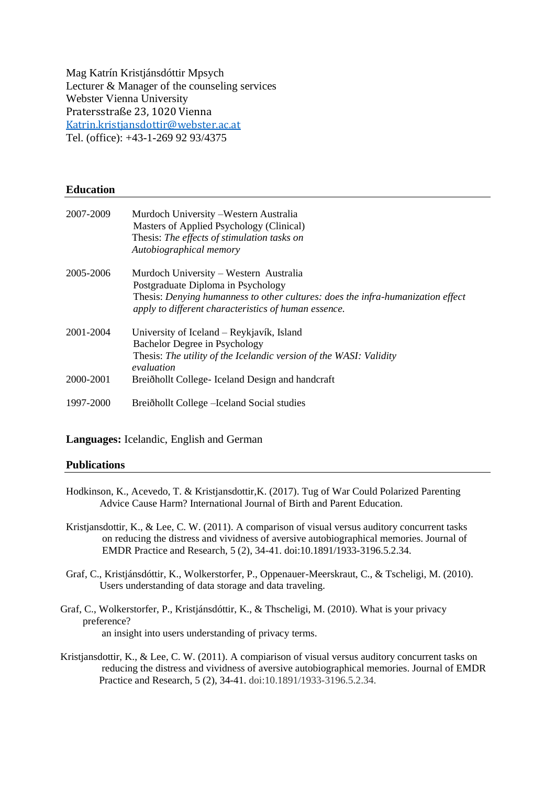Mag Katrín Kristjánsdóttir Mpsych Lecturer & Manager of the counseling services Webster Vienna University Pratersstraße 23, 1020 Vienna [Katrin.kristjansdottir@webster.ac.at](mailto:Katrin.kristjansdottir@webster.ac.at) Tel. (office): +43-1-269 92 93/4375

# **Education**

| 2007-2009 | Murdoch University – Western Australia<br>Masters of Applied Psychology (Clinical)<br>Thesis: The effects of stimulation tasks on<br>Autobiographical memory                  |
|-----------|-------------------------------------------------------------------------------------------------------------------------------------------------------------------------------|
| 2005-2006 | Murdoch University – Western Australia                                                                                                                                        |
|           | Postgraduate Diploma in Psychology<br>Thesis: Denying humanness to other cultures: does the infra-humanization effect<br>apply to different characteristics of human essence. |
| 2001-2004 | University of Iceland – Reykjavík, Island<br>Bachelor Degree in Psychology<br>Thesis: The utility of the Icelandic version of the WASI: Validity<br>evaluation                |
| 2000-2001 | Breiðhollt College- Iceland Design and handcraft                                                                                                                              |
| 1997-2000 | Breiðhollt College – Iceland Social studies                                                                                                                                   |

# **Languages:** Icelandic, English and German

#### **Publications**

- Hodkinson, K., Acevedo, T. & Kristjansdottir,K. (2017). Tug of War Could Polarized Parenting Advice Cause Harm? International Journal of Birth and Parent Education.
- Kristjansdottir, K., & Lee, C. W. (2011). A comparison of visual versus auditory concurrent tasks on reducing the distress and vividness of aversive autobiographical memories. Journal of EMDR Practice and Research, 5 (2), 34-41. doi:10.1891/1933-3196.5.2.34.
- Graf, C., Kristjánsdóttir, K., Wolkerstorfer, P., Oppenauer-Meerskraut, C., & Tscheligi, M. (2010). Users understanding of data storage and data traveling.
- Graf, C., Wolkerstorfer, P., Kristjánsdóttir, K., & Thscheligi, M. (2010). What is your privacy preference? an insight into users understanding of privacy terms.
- Kristjansdottir, K., & Lee, C. W. (2011). A compiarison of visual versus auditory concurrent tasks on reducing the distress and vividness of aversive autobiographical memories. Journal of EMDR Practice and Research, 5 (2), 34-41. doi:10.1891/1933-3196.5.2.34.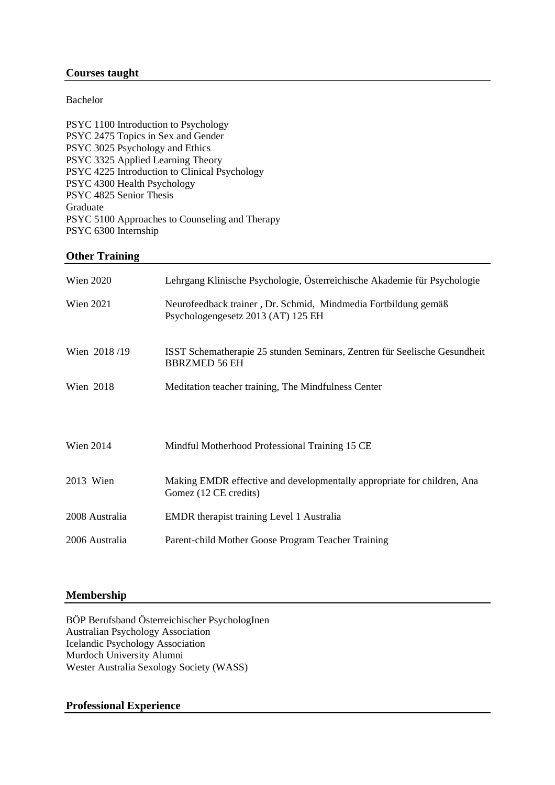# **Courses taught**

Bachelor

PSYC 1100 Introduction to Psychology PSYC 2475 Topics in Sex and Gender PSYC 3025 Psychology and Ethics PSYC 3325 Applied Learning Theory PSYC 4225 Introduction to Clinical Psychology PSYC 4300 Health Psychology PSYC 4825 Senior Thesis Graduate PSYC 5100 Approaches to Counseling and Therapy PSYC 6300 Internship

# **Other Training**

| <b>Wien 2020</b> | Lehrgang Klinische Psychologie, Österreichische Akademie für Psychologie                             |
|------------------|------------------------------------------------------------------------------------------------------|
| <b>Wien 2021</b> | Neurofeedback trainer, Dr. Schmid, Mindmedia Fortbildung gemäß<br>Psychologengesetz 2013 (AT) 125 EH |
| Wien 2018/19     | ISST Schematherapie 25 stunden Seminars, Zentren für Seelische Gesundheit<br><b>BBRZMED 56 EH</b>    |
| Wien 2018        | Meditation teacher training, The Mindfulness Center                                                  |
| <b>Wien 2014</b> | Mindful Motherhood Professional Training 15 CE                                                       |
| 2013 Wien        | Making EMDR effective and developmentally appropriate for children, Ana<br>Gomez (12 CE credits)     |
| 2008 Australia   | <b>EMDR</b> therapist training Level 1 Australia                                                     |
| 2006 Australia   | Parent-child Mother Goose Program Teacher Training                                                   |

# **Membership**

BÖP Berufsband Österreichischer PsychologInen Australian Psychology Association Icelandic Psychology Association Murdoch University Alumni Wester Australia Sexology Society (WASS)

# **Professional Experience**